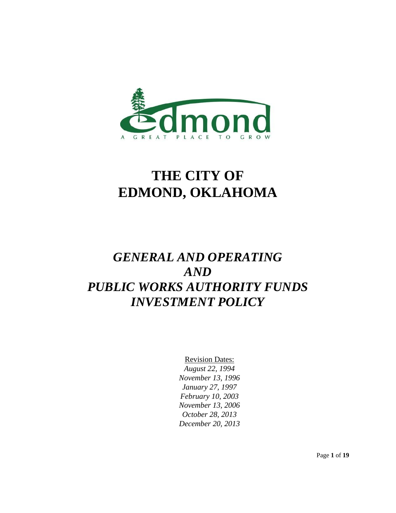

# **THE CITY OF EDMOND, OKLAHOMA**

## *GENERAL AND OPERATING AND PUBLIC WORKS AUTHORITY FUNDS INVESTMENT POLICY*

Revision Dates: *August 22, 1994 November 13, 1996 January 27, 1997 February 10, 2003 November 13, 2006 October 28, 2013 December 20, 2013*

Page **1** of **19**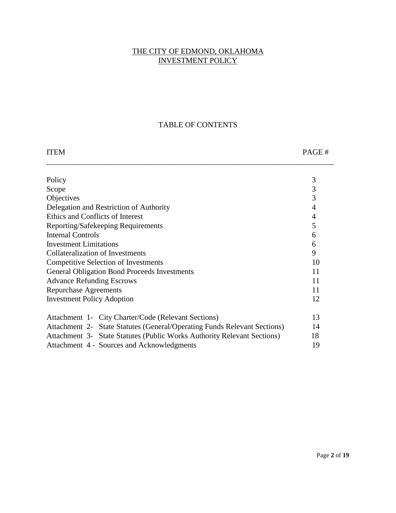## THE CITY OF EDMOND, OKLAHOMA INVESTMENT POLICY

## TABLE OF CONTENTS

| <b>ITEM</b>                                         |                                                                          | PAGE#          |
|-----------------------------------------------------|--------------------------------------------------------------------------|----------------|
|                                                     |                                                                          |                |
| Policy                                              |                                                                          | 3              |
| Scope                                               |                                                                          | $\mathfrak{Z}$ |
| Objectives                                          |                                                                          | 3              |
| Delegation and Restriction of Authority             |                                                                          | $\overline{4}$ |
| Ethics and Conflicts of Interest                    |                                                                          | $\overline{4}$ |
| Reporting/Safekeeping Requirements                  |                                                                          | 5              |
| <b>Internal Controls</b>                            |                                                                          | 6              |
| <b>Investment Limitations</b>                       |                                                                          | 6              |
| <b>Collateralization of Investments</b>             |                                                                          | 9              |
| <b>Competitive Selection of Investments</b>         |                                                                          | 10             |
| <b>General Obligation Bond Proceeds Investments</b> |                                                                          | 11             |
| <b>Advance Refunding Escrows</b>                    |                                                                          | 11             |
| <b>Repurchase Agreements</b>                        |                                                                          | 11             |
| <b>Investment Policy Adoption</b>                   |                                                                          | 12             |
|                                                     | Attachment 1- City Charter/Code (Relevant Sections)                      | 13             |
|                                                     | Attachment 2- State Statutes (General/Operating Funds Relevant Sections) | 14             |
|                                                     | Attachment 3- State Statutes (Public Works Authority Relevant Sections)  | 18             |
|                                                     | Attachment 4 - Sources and Acknowledgments                               | 19             |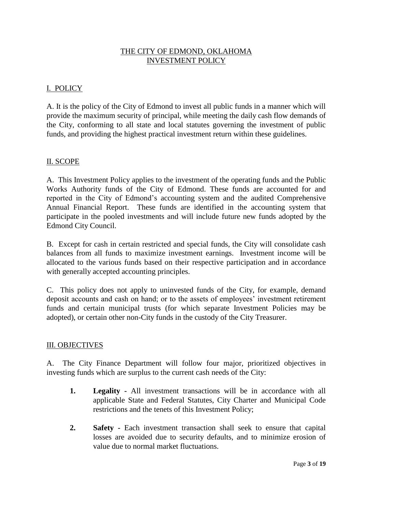## THE CITY OF EDMOND, OKLAHOMA INVESTMENT POLICY

## I. POLICY

A. It is the policy of the City of Edmond to invest all public funds in a manner which will provide the maximum security of principal, while meeting the daily cash flow demands of the City, conforming to all state and local statutes governing the investment of public funds, and providing the highest practical investment return within these guidelines.

## II. SCOPE

A. This Investment Policy applies to the investment of the operating funds and the Public Works Authority funds of the City of Edmond. These funds are accounted for and reported in the City of Edmond's accounting system and the audited Comprehensive Annual Financial Report. These funds are identified in the accounting system that participate in the pooled investments and will include future new funds adopted by the Edmond City Council.

B. Except for cash in certain restricted and special funds, the City will consolidate cash balances from all funds to maximize investment earnings. Investment income will be allocated to the various funds based on their respective participation and in accordance with generally accepted accounting principles.

C. This policy does not apply to uninvested funds of the City, for example, demand deposit accounts and cash on hand; or to the assets of employees' investment retirement funds and certain municipal trusts (for which separate Investment Policies may be adopted), or certain other non-City funds in the custody of the City Treasurer.

## III. OBJECTIVES

A. The City Finance Department will follow four major, prioritized objectives in investing funds which are surplus to the current cash needs of the City:

- **1. Legality -** All investment transactions will be in accordance with all applicable State and Federal Statutes, City Charter and Municipal Code restrictions and the tenets of this Investment Policy;
- **2. Safety -** Each investment transaction shall seek to ensure that capital losses are avoided due to security defaults, and to minimize erosion of value due to normal market fluctuations.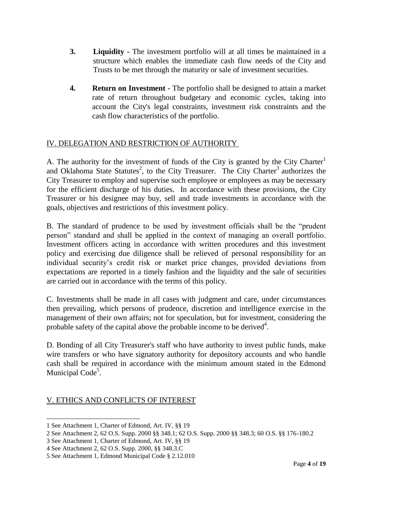- **3. Liquidity -** The investment portfolio will at all times be maintained in a structure which enables the immediate cash flow needs of the City and Trusts to be met through the maturity or sale of investment securities.
- **4. Return on Investment -** The portfolio shall be designed to attain a market rate of return throughout budgetary and economic cycles, taking into account the City's legal constraints, investment risk constraints and the cash flow characteristics of the portfolio.

## IV. DELEGATION AND RESTRICTION OF AUTHORITY

A. The authority for the investment of funds of the City is granted by the City Charter<sup>1</sup> and Oklahoma State Statutes<sup>2</sup>, to the City Treasurer. The City Charter<sup>3</sup> authorizes the City Treasurer to employ and supervise such employee or employees as may be necessary for the efficient discharge of his duties. In accordance with these provisions, the City Treasurer or his designee may buy, sell and trade investments in accordance with the goals, objectives and restrictions of this investment policy.

B. The standard of prudence to be used by investment officials shall be the "prudent person" standard and shall be applied in the context of managing an overall portfolio. Investment officers acting in accordance with written procedures and this investment policy and exercising due diligence shall be relieved of personal responsibility for an individual security's credit risk or market price changes, provided deviations from expectations are reported in a timely fashion and the liquidity and the sale of securities are carried out in accordance with the terms of this policy.

C. Investments shall be made in all cases with judgment and care, under circumstances then prevailing, which persons of prudence, discretion and intelligence exercise in the management of their own affairs; not for speculation, but for investment, considering the probable safety of the capital above the probable income to be derived $4$ .

D. Bonding of all City Treasurer's staff who have authority to invest public funds, make wire transfers or who have signatory authority for depository accounts and who handle cash shall be required in accordance with the minimum amount stated in the Edmond Municipal Code<sup>5</sup>.

## V. ETHICS AND CONFLICTS OF INTEREST

<sup>1</sup> See Attachment 1, Charter of Edmond, Art. IV, §§ 19

<sup>2</sup> See Attachment 2, 62 O.S. Supp. 2000 §§ 348.1; 62 O.S. Supp. 2000 §§ 348.3; 60 O.S. §§ 176-180.2

<sup>3</sup> See Attachment 1, Charter of Edmond, Art. IV, §§ 19

<sup>4</sup> See Attachment 2, 62 O.S. Supp. 2000, §§ 348.3.C

<sup>5</sup> See Attachment 1, Edmond Municipal Code § 2.12.010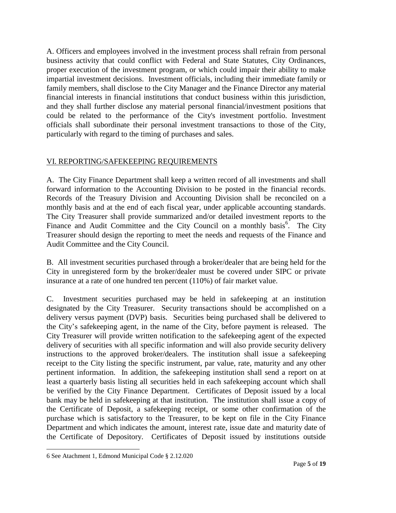A. Officers and employees involved in the investment process shall refrain from personal business activity that could conflict with Federal and State Statutes, City Ordinances, proper execution of the investment program, or which could impair their ability to make impartial investment decisions. Investment officials, including their immediate family or family members, shall disclose to the City Manager and the Finance Director any material financial interests in financial institutions that conduct business within this jurisdiction, and they shall further disclose any material personal financial/investment positions that could be related to the performance of the City's investment portfolio. Investment officials shall subordinate their personal investment transactions to those of the City, particularly with regard to the timing of purchases and sales.

## VI. REPORTING/SAFEKEEPING REQUIREMENTS

A. The City Finance Department shall keep a written record of all investments and shall forward information to the Accounting Division to be posted in the financial records. Records of the Treasury Division and Accounting Division shall be reconciled on a monthly basis and at the end of each fiscal year, under applicable accounting standards. The City Treasurer shall provide summarized and/or detailed investment reports to the Finance and Audit Committee and the City Council on a monthly basis<sup>6</sup>. The City Treasurer should design the reporting to meet the needs and requests of the Finance and Audit Committee and the City Council.

B. All investment securities purchased through a broker/dealer that are being held for the City in unregistered form by the broker/dealer must be covered under SIPC or private insurance at a rate of one hundred ten percent (110%) of fair market value.

C. Investment securities purchased may be held in safekeeping at an institution designated by the City Treasurer. Security transactions should be accomplished on a delivery versus payment (DVP) basis. Securities being purchased shall be delivered to the City's safekeeping agent, in the name of the City, before payment is released. The City Treasurer will provide written notification to the safekeeping agent of the expected delivery of securities with all specific information and will also provide security delivery instructions to the approved broker/dealers. The institution shall issue a safekeeping receipt to the City listing the specific instrument, par value, rate, maturity and any other pertinent information. In addition, the safekeeping institution shall send a report on at least a quarterly basis listing all securities held in each safekeeping account which shall be verified by the City Finance Department. Certificates of Deposit issued by a local bank may be held in safekeeping at that institution. The institution shall issue a copy of the Certificate of Deposit, a safekeeping receipt, or some other confirmation of the purchase which is satisfactory to the Treasurer, to be kept on file in the City Finance Department and which indicates the amount, interest rate, issue date and maturity date of the Certificate of Depository. Certificates of Deposit issued by institutions outside

 $\overline{a}$ 6 See Atachment 1, Edmond Municipal Code § 2.12.020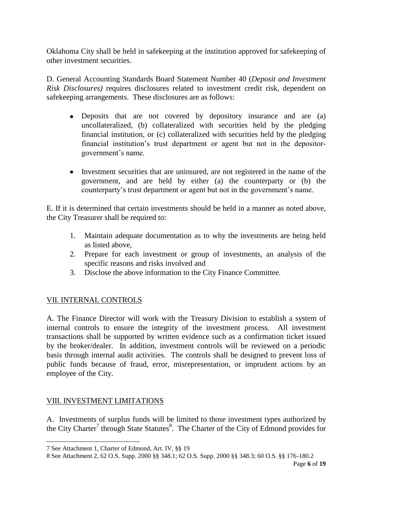Oklahoma City shall be held in safekeeping at the institution approved for safekeeping of other investment securities.

D. General Accounting Standards Board Statement Number 40 (*Deposit and Investment Risk Disclosures)* requires disclosures related to investment credit risk, dependent on safekeeping arrangements. These disclosures are as follows:

- Deposits that are not covered by depository insurance and are (a) uncollateralized, (b) collateralized with securities held by the pledging financial institution, or (c) collateralized with securities held by the pledging financial institution's trust department or agent but not in the depositorgovernment's name.
- Investment securities that are uninsured, are not registered in the name of the government, and are held by either (a) the counterparty or (b) the counterparty's trust department or agent but not in the government's name.

E. If it is determined that certain investments should be held in a manner as noted above, the City Treasurer shall be required to:

- 1. Maintain adequate documentation as to why the investments are being held as listed above,
- 2. Prepare for each investment or group of investments, an analysis of the specific reasons and risks involved and
- 3. Disclose the above information to the City Finance Committee.

## VII. INTERNAL CONTROLS

A. The Finance Director will work with the Treasury Division to establish a system of internal controls to ensure the integrity of the investment process. All investment transactions shall be supported by written evidence such as a confirmation ticket issued by the broker/dealer. In addition, investment controls will be reviewed on a periodic basis through internal audit activities. The controls shall be designed to prevent loss of public funds because of fraud, error, misrepresentation, or imprudent actions by an employee of the City.

## VIII. INVESTMENT LIMITATIONS

 $\overline{a}$ 

A. Investments of surplus funds will be limited to those investment types authorized by the City Charter<sup>7</sup> through State Statutes<sup>8</sup>. The Charter of the City of Edmond provides for

<sup>7</sup> See Attachment 1, Charter of Edmond, Art. IV, §§ 19

<sup>8</sup> See Attachment 2, 62 O.S. Supp. 2000 §§ 348.1; 62 O.S. Supp. 2000 §§ 348.3; 60 O.S. §§ 176-180.2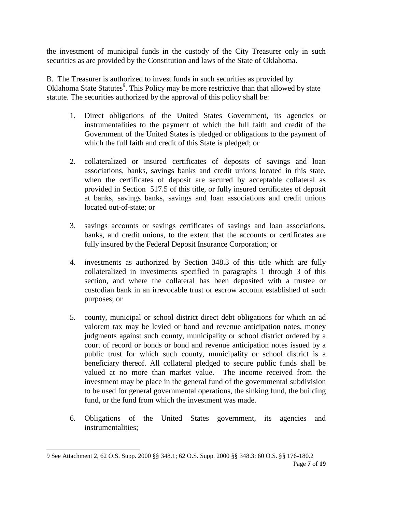the investment of municipal funds in the custody of the City Treasurer only in such securities as are provided by the Constitution and laws of the State of Oklahoma.

B. The Treasurer is authorized to invest funds in such securities as provided by Oklahoma State Statutes<sup>9</sup>. This Policy may be more restrictive than that allowed by state statute. The securities authorized by the approval of this policy shall be:

- 1. Direct obligations of the United States Government, its agencies or instrumentalities to the payment of which the full faith and credit of the Government of the United States is pledged or obligations to the payment of which the full faith and credit of this State is pledged; or
- 2. collateralized or insured certificates of deposits of savings and loan associations, banks, savings banks and credit unions located in this state, when the certificates of deposit are secured by acceptable collateral as provided in Section 517.5 of this title, or fully insured certificates of deposit at banks, savings banks, savings and loan associations and credit unions located out-of-state; or
- 3. savings accounts or savings certificates of savings and loan associations, banks, and credit unions, to the extent that the accounts or certificates are fully insured by the Federal Deposit Insurance Corporation; or
- 4. investments as authorized by Section 348.3 of this title which are fully collateralized in investments specified in paragraphs 1 through 3 of this section, and where the collateral has been deposited with a trustee or custodian bank in an irrevocable trust or escrow account established of such purposes; or
- 5. county, municipal or school district direct debt obligations for which an ad valorem tax may be levied or bond and revenue anticipation notes, money judgments against such county, municipality or school district ordered by a court of record or bonds or bond and revenue anticipation notes issued by a public trust for which such county, municipality or school district is a beneficiary thereof. All collateral pledged to secure public funds shall be valued at no more than market value. The income received from the investment may be place in the general fund of the governmental subdivision to be used for general governmental operations, the sinking fund, the building fund, or the fund from which the investment was made.
- 6. Obligations of the United States government, its agencies and instrumentalities;

<sup>9</sup> See Attachment 2, 62 O.S. Supp. 2000 §§ 348.1; 62 O.S. Supp. 2000 §§ 348.3; 60 O.S. §§ 176-180.2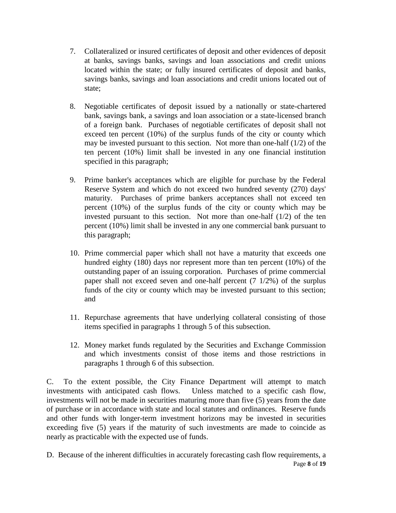- 7. Collateralized or insured certificates of deposit and other evidences of deposit at banks, savings banks, savings and loan associations and credit unions located within the state; or fully insured certificates of deposit and banks, savings banks, savings and loan associations and credit unions located out of state;
- 8. Negotiable certificates of deposit issued by a nationally or state-chartered bank, savings bank, a savings and loan association or a state-licensed branch of a foreign bank. Purchases of negotiable certificates of deposit shall not exceed ten percent (10%) of the surplus funds of the city or county which may be invested pursuant to this section. Not more than one-half (1/2) of the ten percent (10%) limit shall be invested in any one financial institution specified in this paragraph;
- 9. Prime banker's acceptances which are eligible for purchase by the Federal Reserve System and which do not exceed two hundred seventy (270) days' maturity. Purchases of prime bankers acceptances shall not exceed ten percent (10%) of the surplus funds of the city or county which may be invested pursuant to this section. Not more than one-half  $(1/2)$  of the ten percent (10%) limit shall be invested in any one commercial bank pursuant to this paragraph;
- 10. Prime commercial paper which shall not have a maturity that exceeds one hundred eighty (180) days nor represent more than ten percent (10%) of the outstanding paper of an issuing corporation. Purchases of prime commercial paper shall not exceed seven and one-half percent (7 1/2%) of the surplus funds of the city or county which may be invested pursuant to this section; and
- 11. Repurchase agreements that have underlying collateral consisting of those items specified in paragraphs 1 through 5 of this subsection.
- 12. Money market funds regulated by the Securities and Exchange Commission and which investments consist of those items and those restrictions in paragraphs 1 through 6 of this subsection.

C. To the extent possible, the City Finance Department will attempt to match investments with anticipated cash flows. Unless matched to a specific cash flow, investments will not be made in securities maturing more than five (5) years from the date of purchase or in accordance with state and local statutes and ordinances. Reserve funds and other funds with longer-term investment horizons may be invested in securities exceeding five (5) years if the maturity of such investments are made to coincide as nearly as practicable with the expected use of funds.

Page **8** of **19** D. Because of the inherent difficulties in accurately forecasting cash flow requirements, a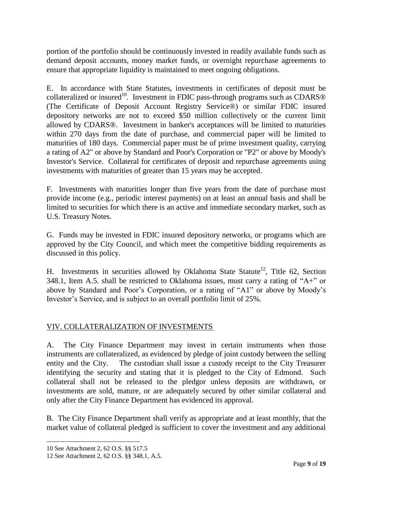portion of the portfolio should be continuously invested in readily available funds such as demand deposit accounts, money market funds, or overnight repurchase agreements to ensure that appropriate liquidity is maintained to meet ongoing obligations.

E. In accordance with State Statutes, investments in certificates of deposit must be collateralized or insured<sup>10</sup>. Investment in FDIC pass-through programs such as CDARS<sup>®</sup> (The Certificate of Deposit Account Registry Service®) or similar FDIC insured depository networks are not to exceed \$50 million collectively or the current limit allowed by CDARS®. Investment in banker's acceptances will be limited to maturities within 270 days from the date of purchase, and commercial paper will be limited to maturities of 180 days. Commercial paper must be of prime investment quality, carrying a rating of A2" or above by Standard and Poor's Corporation or "P2" or above by Moody's Investor's Service. Collateral for certificates of deposit and repurchase agreements using investments with maturities of greater than 15 years may be accepted.

F. Investments with maturities longer than five years from the date of purchase must provide income (e.g., periodic interest payments) on at least an annual basis and shall be limited to securities for which there is an active and immediate secondary market, such as U.S. Treasury Notes.

G. Funds may be invested in FDIC insured depository networks, or programs which are approved by the City Council, and which meet the competitive bidding requirements as discussed in this policy.

H. Investments in securities allowed by Oklahoma State Statute<sup>12</sup>, Title 62, Section 348.1, Item A.5. shall be restricted to Oklahoma issues, must carry a rating of "A+" or above by Standard and Poor's Corporation, or a rating of "A1" or above by Moody's Investor's Service, and is subject to an overall portfolio limit of 25%.

## VIV. COLLATERALIZATION OF INVESTMENTS

A. The City Finance Department may invest in certain instruments when those instruments are collateralized, as evidenced by pledge of joint custody between the selling entity and the City. The custodian shall issue a custody receipt to the City Treasurer identifying the security and stating that it is pledged to the City of Edmond. Such collateral shall not be released to the pledgor unless deposits are withdrawn, or investments are sold, mature, or are adequately secured by other similar collateral and only after the City Finance Department has evidenced its approval.

B. The City Finance Department shall verify as appropriate and at least monthly, that the market value of collateral pledged is sufficient to cover the investment and any additional

<sup>10</sup> See Attachment 2, 62 O.S. §§ 517.5

<sup>12</sup> See Attachment 2, 62 O.S. §§ 348.1, A.5.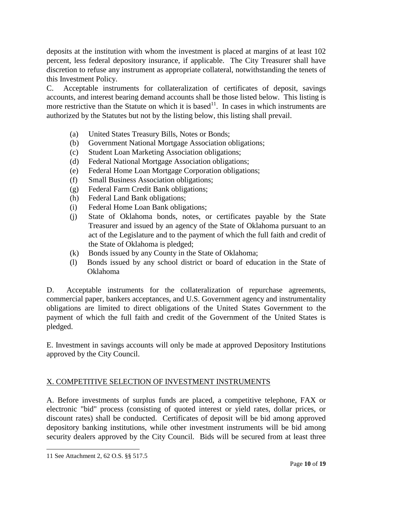deposits at the institution with whom the investment is placed at margins of at least 102 percent, less federal depository insurance, if applicable. The City Treasurer shall have discretion to refuse any instrument as appropriate collateral, notwithstanding the tenets of this Investment Policy.

C. Acceptable instruments for collateralization of certificates of deposit, savings accounts, and interest bearing demand accounts shall be those listed below. This listing is more restrictive than the Statute on which it is based<sup>11</sup>. In cases in which instruments are authorized by the Statutes but not by the listing below, this listing shall prevail.

- (a) United States Treasury Bills, Notes or Bonds;
- (b) Government National Mortgage Association obligations;
- (c) Student Loan Marketing Association obligations;
- (d) Federal National Mortgage Association obligations;
- (e) Federal Home Loan Mortgage Corporation obligations;
- (f) Small Business Association obligations;
- (g) Federal Farm Credit Bank obligations;
- (h) Federal Land Bank obligations;
- (i) Federal Home Loan Bank obligations;
- (j) State of Oklahoma bonds, notes, or certificates payable by the State Treasurer and issued by an agency of the State of Oklahoma pursuant to an act of the Legislature and to the payment of which the full faith and credit of the State of Oklahoma is pledged;
- (k) Bonds issued by any County in the State of Oklahoma;
- (l) Bonds issued by any school district or board of education in the State of Oklahoma

D. Acceptable instruments for the collateralization of repurchase agreements, commercial paper, bankers acceptances, and U.S. Government agency and instrumentality obligations are limited to direct obligations of the United States Government to the payment of which the full faith and credit of the Government of the United States is pledged.

E. Investment in savings accounts will only be made at approved Depository Institutions approved by the City Council.

## X. COMPETITIVE SELECTION OF INVESTMENT INSTRUMENTS

A. Before investments of surplus funds are placed, a competitive telephone, FAX or electronic "bid" process (consisting of quoted interest or yield rates, dollar prices, or discount rates) shall be conducted. Certificates of deposit will be bid among approved depository banking institutions, while other investment instruments will be bid among security dealers approved by the City Council. Bids will be secured from at least three

<sup>11</sup> See Attachment 2, 62 O.S. §§ 517.5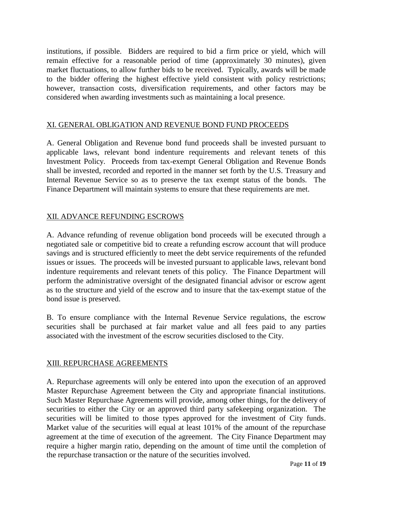institutions, if possible. Bidders are required to bid a firm price or yield, which will remain effective for a reasonable period of time (approximately 30 minutes), given market fluctuations, to allow further bids to be received. Typically, awards will be made to the bidder offering the highest effective yield consistent with policy restrictions; however, transaction costs, diversification requirements, and other factors may be considered when awarding investments such as maintaining a local presence.

## XI. GENERAL OBLIGATION AND REVENUE BOND FUND PROCEEDS

A. General Obligation and Revenue bond fund proceeds shall be invested pursuant to applicable laws, relevant bond indenture requirements and relevant tenets of this Investment Policy. Proceeds from tax-exempt General Obligation and Revenue Bonds shall be invested, recorded and reported in the manner set forth by the U.S. Treasury and Internal Revenue Service so as to preserve the tax exempt status of the bonds. The Finance Department will maintain systems to ensure that these requirements are met.

#### XII. ADVANCE REFUNDING ESCROWS

A. Advance refunding of revenue obligation bond proceeds will be executed through a negotiated sale or competitive bid to create a refunding escrow account that will produce savings and is structured efficiently to meet the debt service requirements of the refunded issues or issues. The proceeds will be invested pursuant to applicable laws, relevant bond indenture requirements and relevant tenets of this policy. The Finance Department will perform the administrative oversight of the designated financial advisor or escrow agent as to the structure and yield of the escrow and to insure that the tax-exempt statue of the bond issue is preserved.

B. To ensure compliance with the Internal Revenue Service regulations, the escrow securities shall be purchased at fair market value and all fees paid to any parties associated with the investment of the escrow securities disclosed to the City.

#### XIII. REPURCHASE AGREEMENTS

A. Repurchase agreements will only be entered into upon the execution of an approved Master Repurchase Agreement between the City and appropriate financial institutions. Such Master Repurchase Agreements will provide, among other things, for the delivery of securities to either the City or an approved third party safekeeping organization. The securities will be limited to those types approved for the investment of City funds. Market value of the securities will equal at least 101% of the amount of the repurchase agreement at the time of execution of the agreement. The City Finance Department may require a higher margin ratio, depending on the amount of time until the completion of the repurchase transaction or the nature of the securities involved.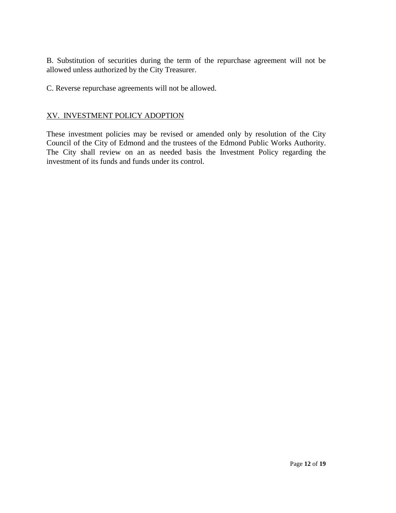B. Substitution of securities during the term of the repurchase agreement will not be allowed unless authorized by the City Treasurer.

C. Reverse repurchase agreements will not be allowed.

## XV. INVESTMENT POLICY ADOPTION

These investment policies may be revised or amended only by resolution of the City Council of the City of Edmond and the trustees of the Edmond Public Works Authority. The City shall review on an as needed basis the Investment Policy regarding the investment of its funds and funds under its control.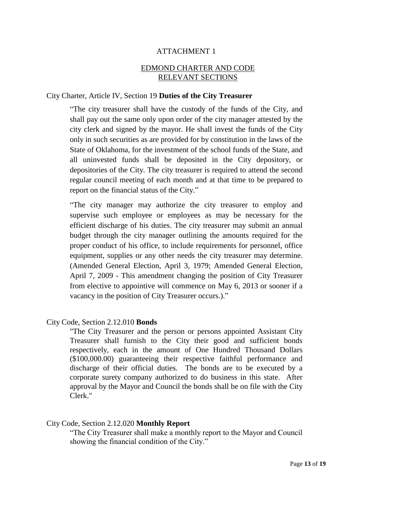#### EDMOND CHARTER AND CODE RELEVANT SECTIONS

#### City Charter, Article IV, Section 19 **Duties of the City Treasurer**

"The city treasurer shall have the custody of the funds of the City, and shall pay out the same only upon order of the city manager attested by the city clerk and signed by the mayor. He shall invest the funds of the City only in such securities as are provided for by constitution in the laws of the State of Oklahoma, for the investment of the school funds of the State, and all uninvested funds shall be deposited in the City depository, or depositories of the City. The city treasurer is required to attend the second regular council meeting of each month and at that time to be prepared to report on the financial status of the City."

"The city manager may authorize the city treasurer to employ and supervise such employee or employees as may be necessary for the efficient discharge of his duties. The city treasurer may submit an annual budget through the city manager outlining the amounts required for the proper conduct of his office, to include requirements for personnel, office equipment, supplies or any other needs the city treasurer may determine. (Amended General Election, April 3, 1979; Amended General Election, April 7, 2009 - This amendment changing the position of City Treasurer from elective to appointive will commence on May 6, 2013 or sooner if a vacancy in the position of City Treasurer occurs.)."

#### City Code, Section 2.12.010 **Bonds**

"The City Treasurer and the person or persons appointed Assistant City Treasurer shall furnish to the City their good and sufficient bonds respectively, each in the amount of One Hundred Thousand Dollars (\$100,000.00) guaranteeing their respective faithful performance and discharge of their official duties. The bonds are to be executed by a corporate surety company authorized to do business in this state. After approval by the Mayor and Council the bonds shall be on file with the City Clerk."

#### City Code, Section 2.12.020 **Monthly Report**

"The City Treasurer shall make a monthly report to the Mayor and Council showing the financial condition of the City."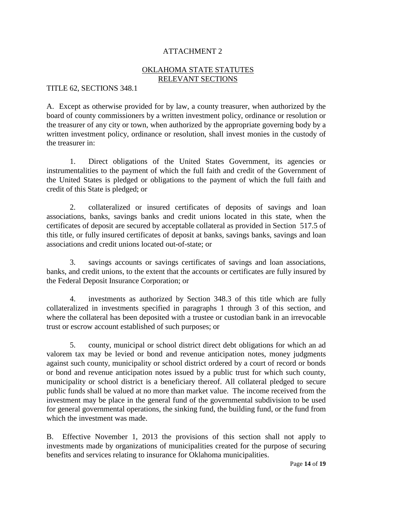## OKLAHOMA STATE STATUTES RELEVANT SECTIONS

TITLE 62, SECTIONS 348.1

A. Except as otherwise provided for by law, a county treasurer, when authorized by the board of county commissioners by a written investment policy, ordinance or resolution or the treasurer of any city or town, when authorized by the appropriate governing body by a written investment policy, ordinance or resolution, shall invest monies in the custody of the treasurer in:

1. Direct obligations of the United States Government, its agencies or instrumentalities to the payment of which the full faith and credit of the Government of the United States is pledged or obligations to the payment of which the full faith and credit of this State is pledged; or

2. collateralized or insured certificates of deposits of savings and loan associations, banks, savings banks and credit unions located in this state, when the certificates of deposit are secured by acceptable collateral as provided in Section 517.5 of this title, or fully insured certificates of deposit at banks, savings banks, savings and loan associations and credit unions located out-of-state; or

3. savings accounts or savings certificates of savings and loan associations, banks, and credit unions, to the extent that the accounts or certificates are fully insured by the Federal Deposit Insurance Corporation; or

4. investments as authorized by Section 348.3 of this title which are fully collateralized in investments specified in paragraphs 1 through 3 of this section, and where the collateral has been deposited with a trustee or custodian bank in an irrevocable trust or escrow account established of such purposes; or

5. county, municipal or school district direct debt obligations for which an ad valorem tax may be levied or bond and revenue anticipation notes, money judgments against such county, municipality or school district ordered by a court of record or bonds or bond and revenue anticipation notes issued by a public trust for which such county, municipality or school district is a beneficiary thereof. All collateral pledged to secure public funds shall be valued at no more than market value. The income received from the investment may be place in the general fund of the governmental subdivision to be used for general governmental operations, the sinking fund, the building fund, or the fund from which the investment was made.

B. Effective November 1, 2013 the provisions of this section shall not apply to investments made by organizations of municipalities created for the purpose of securing benefits and services relating to insurance for Oklahoma municipalities.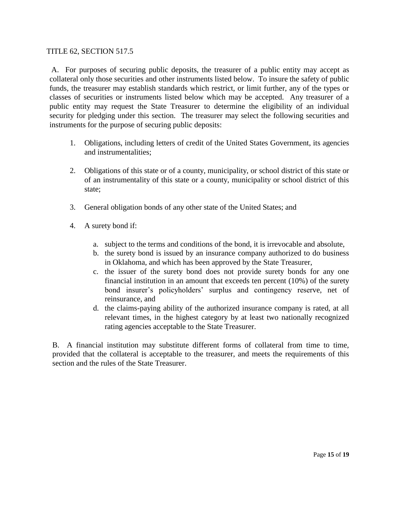#### TITLE 62, SECTION 517.5

A. For purposes of securing public deposits, the treasurer of a public entity may accept as collateral only those securities and other instruments listed below. To insure the safety of public funds, the treasurer may establish standards which restrict, or limit further, any of the types or classes of securities or instruments listed below which may be accepted. Any treasurer of a public entity may request the State Treasurer to determine the eligibility of an individual security for pledging under this section. The treasurer may select the following securities and instruments for the purpose of securing public deposits:

- 1. Obligations, including letters of credit of the United States Government, its agencies and instrumentalities;
- 2. Obligations of this state or of a county, municipality, or school district of this state or of an instrumentality of this state or a county, municipality or school district of this state;
- 3. General obligation bonds of any other state of the United States; and
- 4. A surety bond if:
	- a. subject to the terms and conditions of the bond, it is irrevocable and absolute,
	- b. the surety bond is issued by an insurance company authorized to do business in Oklahoma, and which has been approved by the State Treasurer,
	- c. the issuer of the surety bond does not provide surety bonds for any one financial institution in an amount that exceeds ten percent (10%) of the surety bond insurer's policyholders' surplus and contingency reserve, net of reinsurance, and
	- d. the claims-paying ability of the authorized insurance company is rated, at all relevant times, in the highest category by at least two nationally recognized rating agencies acceptable to the State Treasurer.

B. A financial institution may substitute different forms of collateral from time to time, provided that the collateral is acceptable to the treasurer, and meets the requirements of this section and the rules of the State Treasurer.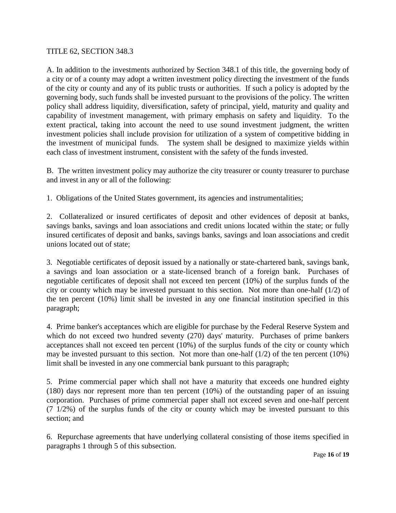#### TITLE 62, SECTION 348.3

A. In addition to the investments authorized by Section 348.1 of this title, the governing body of a city or of a county may adopt a written investment policy directing the investment of the funds of the city or county and any of its public trusts or authorities. If such a policy is adopted by the governing body, such funds shall be invested pursuant to the provisions of the policy. The written policy shall address liquidity, diversification, safety of principal, yield, maturity and quality and capability of investment management, with primary emphasis on safety and liquidity. To the extent practical, taking into account the need to use sound investment judgment, the written investment policies shall include provision for utilization of a system of competitive bidding in the investment of municipal funds. The system shall be designed to maximize yields within each class of investment instrument, consistent with the safety of the funds invested.

B. The written investment policy may authorize the city treasurer or county treasurer to purchase and invest in any or all of the following:

1. Obligations of the United States government, its agencies and instrumentalities;

2. Collateralized or insured certificates of deposit and other evidences of deposit at banks, savings banks, savings and loan associations and credit unions located within the state; or fully insured certificates of deposit and banks, savings banks, savings and loan associations and credit unions located out of state;

3. Negotiable certificates of deposit issued by a nationally or state-chartered bank, savings bank, a savings and loan association or a state-licensed branch of a foreign bank. Purchases of negotiable certificates of deposit shall not exceed ten percent (10%) of the surplus funds of the city or county which may be invested pursuant to this section. Not more than one-half (1/2) of the ten percent (10%) limit shall be invested in any one financial institution specified in this paragraph;

4. Prime banker's acceptances which are eligible for purchase by the Federal Reserve System and which do not exceed two hundred seventy (270) days' maturity. Purchases of prime bankers acceptances shall not exceed ten percent (10%) of the surplus funds of the city or county which may be invested pursuant to this section. Not more than one-half  $(1/2)$  of the ten percent  $(10\%)$ limit shall be invested in any one commercial bank pursuant to this paragraph;

5. Prime commercial paper which shall not have a maturity that exceeds one hundred eighty (180) days nor represent more than ten percent (10%) of the outstanding paper of an issuing corporation. Purchases of prime commercial paper shall not exceed seven and one-half percent (7 1/2%) of the surplus funds of the city or county which may be invested pursuant to this section; and

6. Repurchase agreements that have underlying collateral consisting of those items specified in paragraphs 1 through 5 of this subsection.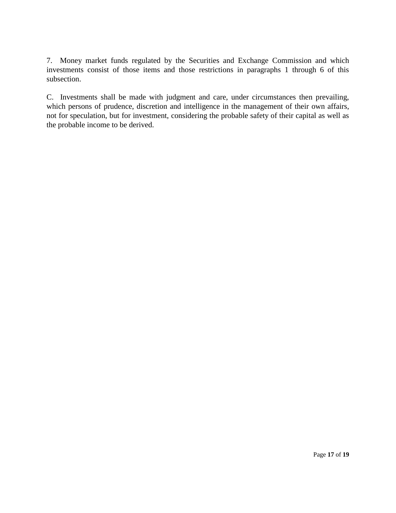7. Money market funds regulated by the Securities and Exchange Commission and which investments consist of those items and those restrictions in paragraphs 1 through 6 of this subsection.

C. Investments shall be made with judgment and care, under circumstances then prevailing, which persons of prudence, discretion and intelligence in the management of their own affairs, not for speculation, but for investment, considering the probable safety of their capital as well as the probable income to be derived.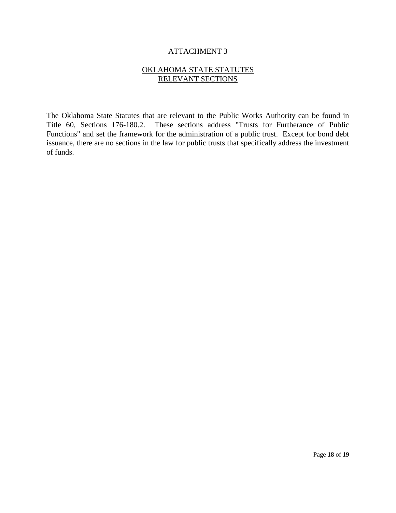#### OKLAHOMA STATE STATUTES RELEVANT SECTIONS

The Oklahoma State Statutes that are relevant to the Public Works Authority can be found in Title 60, Sections 176-180.2. These sections address "Trusts for Furtherance of Public Functions" and set the framework for the administration of a public trust. Except for bond debt issuance, there are no sections in the law for public trusts that specifically address the investment of funds.